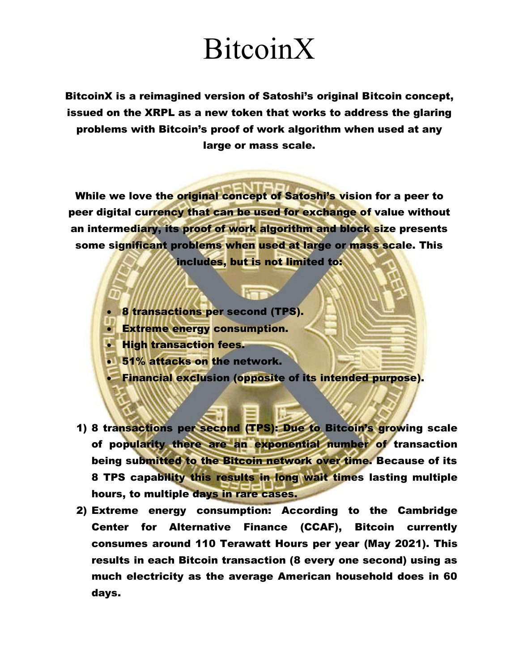BitcoinX is a reimagined version of Satoshi's original Bitcoin concept, issued on the XRPL as a new token that works to address the glaring problems with Bitcoin's proof of work algorithm when used at any large or mass scale.

While we love the original concept of Satoshi's vision for a peer to peer digital currency that can be used for exchange of value without an intermediary, its proof of work algorithm and block size presents some significant problems when used at large or mass scale. This includes, but is not limited to:

- **8 transactions per second (TPS).**
- Extreme energy consumption.
- **High transaction fees.**
- 51% attacks on the network.
- Financial exclusion (opposite of its intended purpose).
- 1) 8 transactions per second (TPS): Due to Bitcoin's growing scale of popularity there are an exponential number of transaction being submitted to the Bitcoin network over time. Because of its 8 TPS capability this results in long wait times lasting multiple hours, to multiple days in rare cases.
- 2) Extreme energy consumption: According to the Cambridge Center for Alternative Finance (CCAF), Bitcoin currently consumes around 110 Terawatt Hours per year (May 2021). This results in each Bitcoin transaction (8 every one second) using as much electricity as the average American household does in 60 days.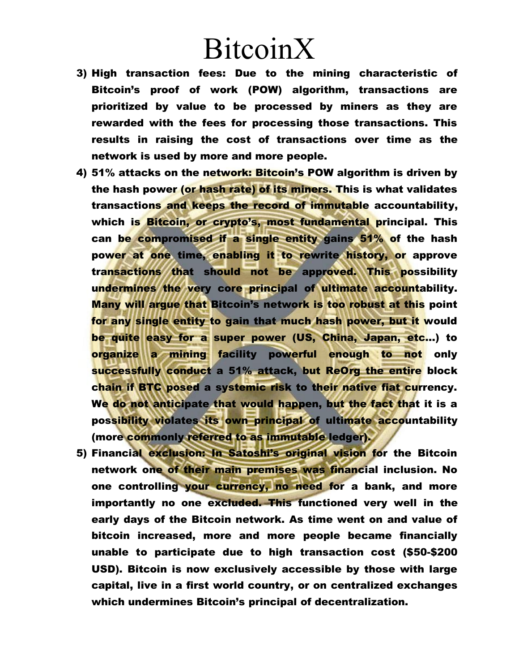- 3) High transaction fees: Due to the mining characteristic of Bitcoin's proof of work (POW) algorithm, transactions are prioritized by value to be processed by miners as they are rewarded with the fees for processing those transactions. This results in raising the cost of transactions over time as the network is used by more and more people.
- 4) 51% attacks on the network: Bitcoin's POW algorithm is driven by the hash power (or hash rate) of its miners. This is what validates transactions and keeps the record of immutable accountability, which is Bitcoin, or crypto's, most fundamental principal. This can be compromised if a single entity gains 51% of the hash power at one time, enabling it to rewrite history, or approve transactions that should not be approved. This possibility undermines the very core principal of ultimate accountability. Many will argue that Bitcoin's network is too robust at this point for any single entity to gain that much hash power, but it would be quite easy for a super power (US, China, Japan, etc…) to organize a mining facility powerful enough to not only successfully conduct a 51% attack, but ReOrg the entire block chain if BTC posed a systemic risk to their native fiat currency. We do not anticipate that would happen, but the fact that it is a possibility violates its own principal of ultimate accountability (more commonly referred to as immutable ledger).
- 5) Financial exclusion: In Satoshi's original vision for the Bitcoin network one of their main premises was financial inclusion. No one controlling your currency, no need for a bank, and more importantly no one excluded. This functioned very well in the early days of the Bitcoin network. As time went on and value of bitcoin increased, more and more people became financially unable to participate due to high transaction cost (\$50-\$200 USD). Bitcoin is now exclusively accessible by those with large capital, live in a first world country, or on centralized exchanges which undermines Bitcoin's principal of decentralization.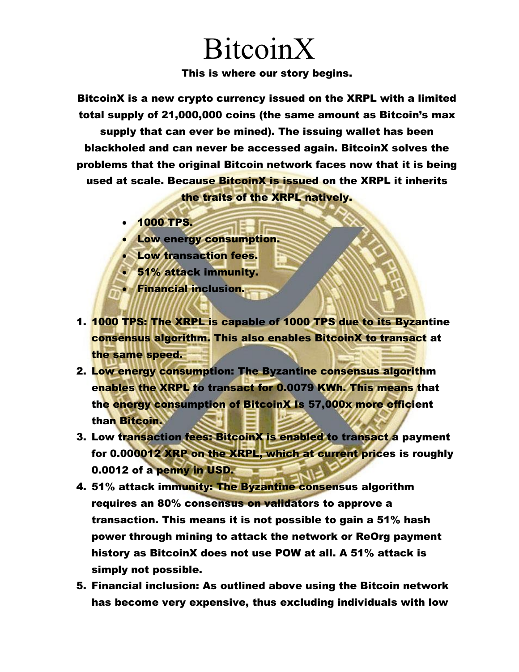This is where our story begins.

BitcoinX is a new crypto currency issued on the XRPL with a limited total supply of 21,000,000 coins (the same amount as Bitcoin's max supply that can ever be mined). The issuing wallet has been blackholed and can never be accessed again. BitcoinX solves the problems that the original Bitcoin network faces now that it is being used at scale. Because **BitcoinX is issued** on the XRPL it inherits the traits of the XRPL natively.

- 1000 TPS.
- Low energy consumption.
- Low transaction fees.
- 51% attack immunity.
- Financial inclusion.
- 1. 1000 TPS: The XRPL is capable of 1000 TPS due to its Byzantine consensus algorithm. This also enables BitcoinX to transact at the same speed.
- 2. Low energy consumption: The Byzantine consensus algorithm enables the XRPL to transact for 0.0079 KWh. This means that the energy consumption of BitcoinX Is 57,000x more efficient than Bitcoin.
- 3. Low transaction fees: BitcoinX is enabled to transact a payment for 0.000012 XRP on the XRPL, which at current prices is roughly 0.0012 of a penny in USD.
- 4. 51% attack immunity: The Byzantine consensus algorithm requires an 80% consensus on validators to approve a transaction. This means it is not possible to gain a 51% hash power through mining to attack the network or ReOrg payment history as BitcoinX does not use POW at all. A 51% attack is simply not possible.
- 5. Financial inclusion: As outlined above using the Bitcoin network has become very expensive, thus excluding individuals with low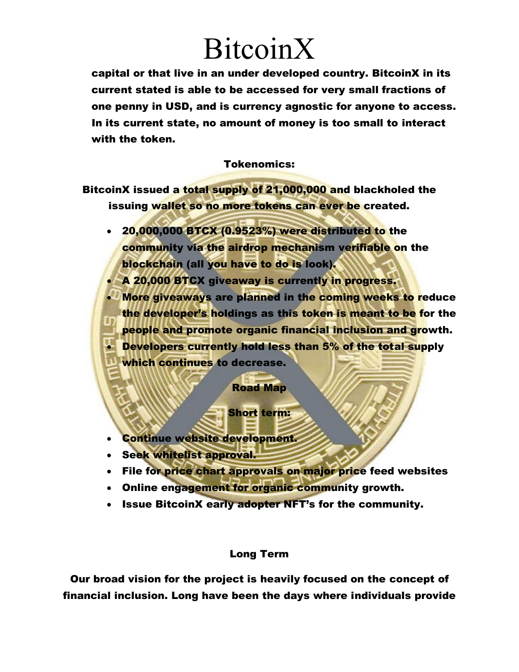capital or that live in an under developed country. BitcoinX in its current stated is able to be accessed for very small fractions of one penny in USD, and is currency agnostic for anyone to access. In its current state, no amount of money is too small to interact with the token.

#### Tokenomics:

BitcoinX issued a total supply of 21,000,000 and blackholed the issuing wallet so no more tokens can ever be created.

 20,000,000 BTCX (0.9523%) were distributed to the community via the airdrop mechanism verifiable on the blockchain (all you have to do is look).

 A 20,000 BTCX giveaway is currently in progress. More giveaways are planned in the coming weeks to reduce the developer's holdings as this token is meant to be for the people and promote organic financial inclusion and growth. • Developers currently hold less than 5% of the total supply

which continues to decrease.

#### Road Map

#### Short term:

- Continue website development.
- Seek whitelist approval.
- File for price chart approvals on major price feed websites
- Online engagement for organic community growth.
- Issue BitcoinX early adopter NFT's for the community.

#### Long Term

Our broad vision for the project is heavily focused on the concept of financial inclusion. Long have been the days where individuals provide